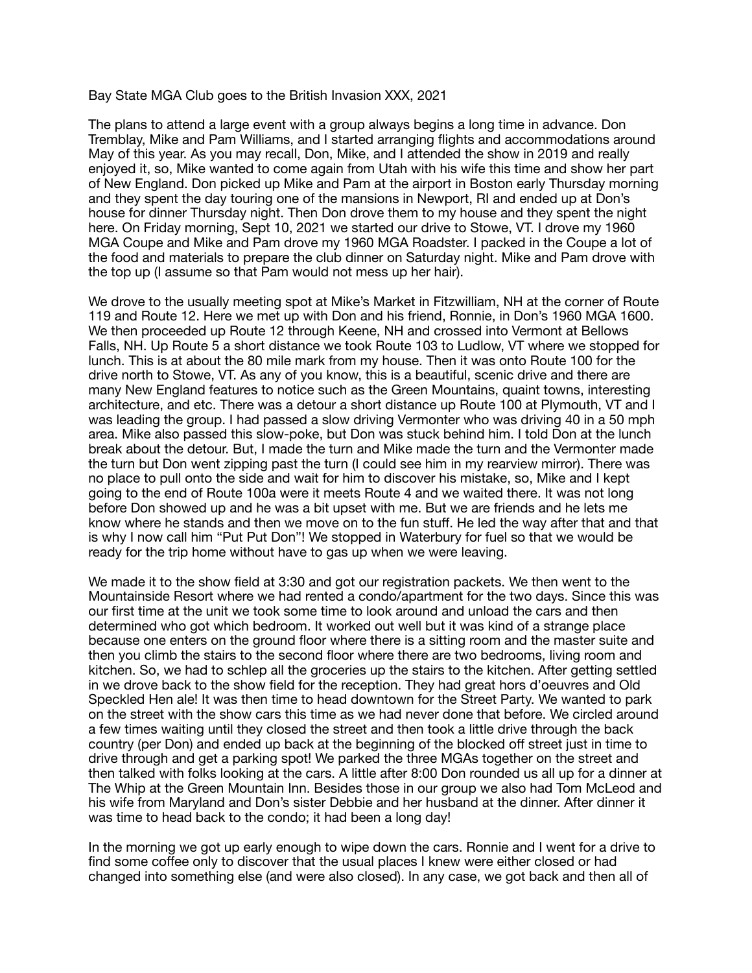## Bay State MGA Club goes to the British Invasion XXX, 2021

The plans to attend a large event with a group always begins a long time in advance. Don Tremblay, Mike and Pam Williams, and I started arranging flights and accommodations around May of this year. As you may recall, Don, Mike, and I attended the show in 2019 and really enjoyed it, so, Mike wanted to come again from Utah with his wife this time and show her part of New England. Don picked up Mike and Pam at the airport in Boston early Thursday morning and they spent the day touring one of the mansions in Newport, RI and ended up at Don's house for dinner Thursday night. Then Don drove them to my house and they spent the night here. On Friday morning, Sept 10, 2021 we started our drive to Stowe, VT. I drove my 1960 MGA Coupe and Mike and Pam drove my 1960 MGA Roadster. I packed in the Coupe a lot of the food and materials to prepare the club dinner on Saturday night. Mike and Pam drove with the top up (I assume so that Pam would not mess up her hair).

We drove to the usually meeting spot at Mike's Market in Fitzwilliam, NH at the corner of Route 119 and Route 12. Here we met up with Don and his friend, Ronnie, in Don's 1960 MGA 1600. We then proceeded up Route 12 through Keene, NH and crossed into Vermont at Bellows Falls, NH. Up Route 5 a short distance we took Route 103 to Ludlow, VT where we stopped for lunch. This is at about the 80 mile mark from my house. Then it was onto Route 100 for the drive north to Stowe, VT. As any of you know, this is a beautiful, scenic drive and there are many New England features to notice such as the Green Mountains, quaint towns, interesting architecture, and etc. There was a detour a short distance up Route 100 at Plymouth, VT and I was leading the group. I had passed a slow driving Vermonter who was driving 40 in a 50 mph area. Mike also passed this slow-poke, but Don was stuck behind him. I told Don at the lunch break about the detour. But, I made the turn and Mike made the turn and the Vermonter made the turn but Don went zipping past the turn (I could see him in my rearview mirror). There was no place to pull onto the side and wait for him to discover his mistake, so, Mike and I kept going to the end of Route 100a were it meets Route 4 and we waited there. It was not long before Don showed up and he was a bit upset with me. But we are friends and he lets me know where he stands and then we move on to the fun stuff. He led the way after that and that is why I now call him "Put Put Don"! We stopped in Waterbury for fuel so that we would be ready for the trip home without have to gas up when we were leaving.

We made it to the show field at 3:30 and got our registration packets. We then went to the Mountainside Resort where we had rented a condo/apartment for the two days. Since this was our first time at the unit we took some time to look around and unload the cars and then determined who got which bedroom. It worked out well but it was kind of a strange place because one enters on the ground floor where there is a sitting room and the master suite and then you climb the stairs to the second floor where there are two bedrooms, living room and kitchen. So, we had to schlep all the groceries up the stairs to the kitchen. After getting settled in we drove back to the show field for the reception. They had great hors d'oeuvres and Old Speckled Hen ale! It was then time to head downtown for the Street Party. We wanted to park on the street with the show cars this time as we had never done that before. We circled around a few times waiting until they closed the street and then took a little drive through the back country (per Don) and ended up back at the beginning of the blocked off street just in time to drive through and get a parking spot! We parked the three MGAs together on the street and then talked with folks looking at the cars. A little after 8:00 Don rounded us all up for a dinner at The Whip at the Green Mountain Inn. Besides those in our group we also had Tom McLeod and his wife from Maryland and Don's sister Debbie and her husband at the dinner. After dinner it was time to head back to the condo; it had been a long day!

In the morning we got up early enough to wipe down the cars. Ronnie and I went for a drive to find some coffee only to discover that the usual places I knew were either closed or had changed into something else (and were also closed). In any case, we got back and then all of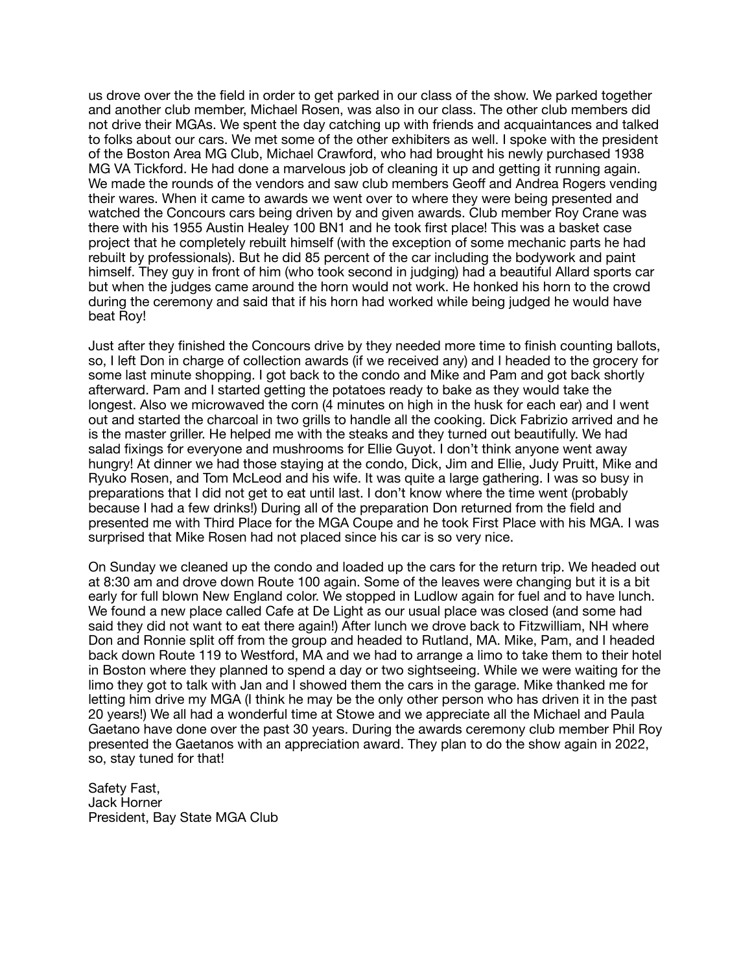us drove over the the field in order to get parked in our class of the show. We parked together and another club member, Michael Rosen, was also in our class. The other club members did not drive their MGAs. We spent the day catching up with friends and acquaintances and talked to folks about our cars. We met some of the other exhibiters as well. I spoke with the president of the Boston Area MG Club, Michael Crawford, who had brought his newly purchased 1938 MG VA Tickford. He had done a marvelous job of cleaning it up and getting it running again. We made the rounds of the vendors and saw club members Geoff and Andrea Rogers vending their wares. When it came to awards we went over to where they were being presented and watched the Concours cars being driven by and given awards. Club member Roy Crane was there with his 1955 Austin Healey 100 BN1 and he took first place! This was a basket case project that he completely rebuilt himself (with the exception of some mechanic parts he had rebuilt by professionals). But he did 85 percent of the car including the bodywork and paint himself. They guy in front of him (who took second in judging) had a beautiful Allard sports car but when the judges came around the horn would not work. He honked his horn to the crowd during the ceremony and said that if his horn had worked while being judged he would have beat Roy!

Just after they finished the Concours drive by they needed more time to finish counting ballots, so. I left Don in charge of collection awards (if we received any) and I headed to the grocery for some last minute shopping. I got back to the condo and Mike and Pam and got back shortly afterward. Pam and I started getting the potatoes ready to bake as they would take the longest. Also we microwaved the corn (4 minutes on high in the husk for each ear) and I went out and started the charcoal in two grills to handle all the cooking. Dick Fabrizio arrived and he is the master griller. He helped me with the steaks and they turned out beautifully. We had salad fixings for everyone and mushrooms for Ellie Guyot. I don't think anyone went away hungry! At dinner we had those staying at the condo, Dick, Jim and Ellie, Judy Pruitt, Mike and Ryuko Rosen, and Tom McLeod and his wife. It was quite a large gathering. I was so busy in preparations that I did not get to eat until last. I don't know where the time went (probably because I had a few drinks!) During all of the preparation Don returned from the field and presented me with Third Place for the MGA Coupe and he took First Place with his MGA. I was surprised that Mike Rosen had not placed since his car is so very nice.

On Sunday we cleaned up the condo and loaded up the cars for the return trip. We headed out at 8:30 am and drove down Route 100 again. Some of the leaves were changing but it is a bit early for full blown New England color. We stopped in Ludlow again for fuel and to have lunch. We found a new place called Cafe at De Light as our usual place was closed (and some had said they did not want to eat there again!) After lunch we drove back to Fitzwilliam, NH where Don and Ronnie split off from the group and headed to Rutland, MA. Mike, Pam, and I headed back down Route 119 to Westford, MA and we had to arrange a limo to take them to their hotel in Boston where they planned to spend a day or two sightseeing. While we were waiting for the limo they got to talk with Jan and I showed them the cars in the garage. Mike thanked me for letting him drive my MGA (I think he may be the only other person who has driven it in the past 20 years!) We all had a wonderful time at Stowe and we appreciate all the Michael and Paula Gaetano have done over the past 30 years. During the awards ceremony club member Phil Roy presented the Gaetanos with an appreciation award. They plan to do the show again in 2022, so, stay tuned for that!

Safety Fast, Jack Horner President, Bay State MGA Club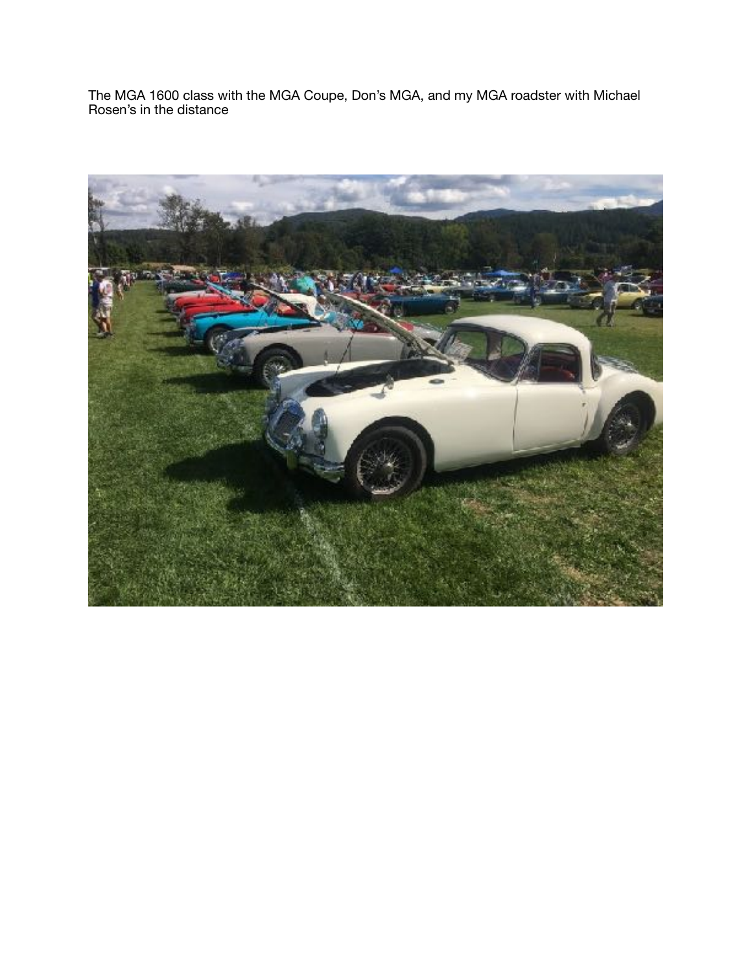The MGA 1600 class with the MGA Coupe, Don's MGA, and my MGA roadster with Michael Rosen's in the distance